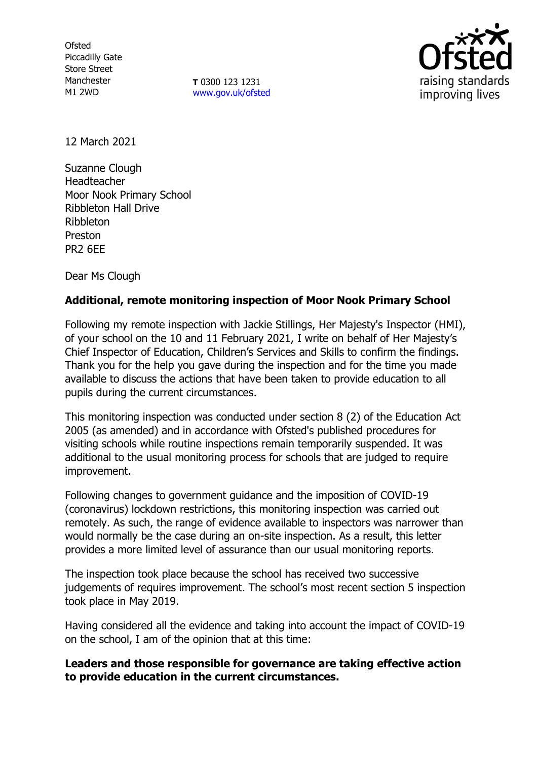**Ofsted** Piccadilly Gate Store Street Manchester M1 2WD

**T** 0300 123 1231 [www.gov.uk/ofsted](http://www.gov.uk/ofsted)



12 March 2021

Suzanne Clough Headteacher Moor Nook Primary School Ribbleton Hall Drive Ribbleton Preston PR2 6EE

Dear Ms Clough

# **Additional, remote monitoring inspection of Moor Nook Primary School**

Following my remote inspection with Jackie Stillings, Her Majesty's Inspector (HMI), of your school on the 10 and 11 February 2021, I write on behalf of Her Majesty's Chief Inspector of Education, Children's Services and Skills to confirm the findings. Thank you for the help you gave during the inspection and for the time you made available to discuss the actions that have been taken to provide education to all pupils during the current circumstances.

This monitoring inspection was conducted under section 8 (2) of the Education Act 2005 (as amended) and in accordance with Ofsted's published procedures for visiting schools while routine inspections remain temporarily suspended. It was additional to the usual monitoring process for schools that are judged to require improvement.

Following changes to government guidance and the imposition of COVID-19 (coronavirus) lockdown restrictions, this monitoring inspection was carried out remotely. As such, the range of evidence available to inspectors was narrower than would normally be the case during an on-site inspection. As a result, this letter provides a more limited level of assurance than our usual monitoring reports.

The inspection took place because the school has received two successive judgements of requires improvement. The school's most recent section 5 inspection took place in May 2019.

Having considered all the evidence and taking into account the impact of COVID-19 on the school, I am of the opinion that at this time:

# **Leaders and those responsible for governance are taking effective action to provide education in the current circumstances.**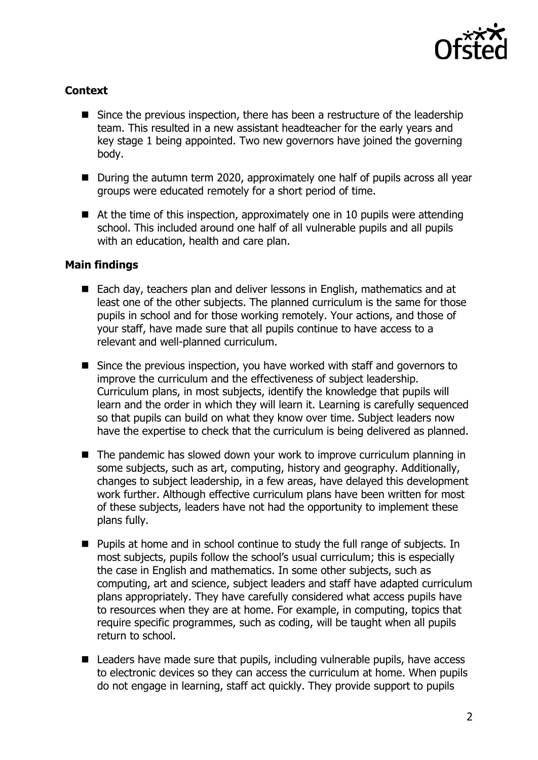

# **Context**

- Since the previous inspection, there has been a restructure of the leadership team. This resulted in a new assistant headteacher for the early years and key stage 1 being appointed. Two new governors have joined the governing body.
- During the autumn term 2020, approximately one half of pupils across all year groups were educated remotely for a short period of time.
- $\blacksquare$  At the time of this inspection, approximately one in 10 pupils were attending school. This included around one half of all vulnerable pupils and all pupils with an education, health and care plan.

# **Main findings**

- Each day, teachers plan and deliver lessons in English, mathematics and at least one of the other subjects. The planned curriculum is the same for those pupils in school and for those working remotely. Your actions, and those of your staff, have made sure that all pupils continue to have access to a relevant and well-planned curriculum.
- Since the previous inspection, you have worked with staff and governors to improve the curriculum and the effectiveness of subject leadership. Curriculum plans, in most subjects, identify the knowledge that pupils will learn and the order in which they will learn it. Learning is carefully sequenced so that pupils can build on what they know over time. Subject leaders now have the expertise to check that the curriculum is being delivered as planned.
- $\blacksquare$  The pandemic has slowed down your work to improve curriculum planning in some subjects, such as art, computing, history and geography. Additionally, changes to subject leadership, in a few areas, have delayed this development work further. Although effective curriculum plans have been written for most of these subjects, leaders have not had the opportunity to implement these plans fully.
- Pupils at home and in school continue to study the full range of subjects. In most subjects, pupils follow the school's usual curriculum; this is especially the case in English and mathematics. In some other subjects, such as computing, art and science, subject leaders and staff have adapted curriculum plans appropriately. They have carefully considered what access pupils have to resources when they are at home. For example, in computing, topics that require specific programmes, such as coding, will be taught when all pupils return to school.
- Leaders have made sure that pupils, including vulnerable pupils, have access to electronic devices so they can access the curriculum at home. When pupils do not engage in learning, staff act quickly. They provide support to pupils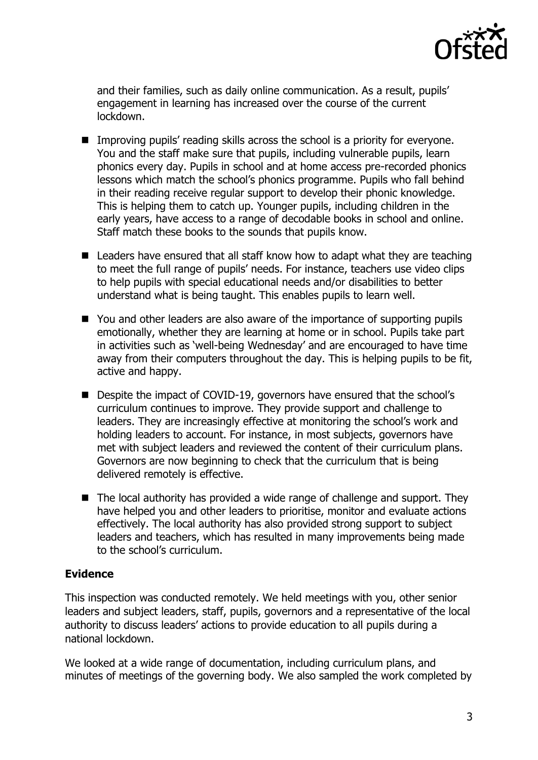

and their families, such as daily online communication. As a result, pupils' engagement in learning has increased over the course of the current lockdown.

- Improving pupils' reading skills across the school is a priority for everyone. You and the staff make sure that pupils, including vulnerable pupils, learn phonics every day. Pupils in school and at home access pre-recorded phonics lessons which match the school's phonics programme. Pupils who fall behind in their reading receive regular support to develop their phonic knowledge. This is helping them to catch up. Younger pupils, including children in the early years, have access to a range of decodable books in school and online. Staff match these books to the sounds that pupils know.
- Leaders have ensured that all staff know how to adapt what they are teaching to meet the full range of pupils' needs. For instance, teachers use video clips to help pupils with special educational needs and/or disabilities to better understand what is being taught. This enables pupils to learn well.
- You and other leaders are also aware of the importance of supporting pupils emotionally, whether they are learning at home or in school. Pupils take part in activities such as 'well-being Wednesday' and are encouraged to have time away from their computers throughout the day. This is helping pupils to be fit, active and happy.
- Despite the impact of COVID-19, governors have ensured that the school's curriculum continues to improve. They provide support and challenge to leaders. They are increasingly effective at monitoring the school's work and holding leaders to account. For instance, in most subjects, governors have met with subject leaders and reviewed the content of their curriculum plans. Governors are now beginning to check that the curriculum that is being delivered remotely is effective.
- The local authority has provided a wide range of challenge and support. They have helped you and other leaders to prioritise, monitor and evaluate actions effectively. The local authority has also provided strong support to subject leaders and teachers, which has resulted in many improvements being made to the school's curriculum.

# **Evidence**

This inspection was conducted remotely. We held meetings with you, other senior leaders and subject leaders, staff, pupils, governors and a representative of the local authority to discuss leaders' actions to provide education to all pupils during a national lockdown.

We looked at a wide range of documentation, including curriculum plans, and minutes of meetings of the governing body. We also sampled the work completed by